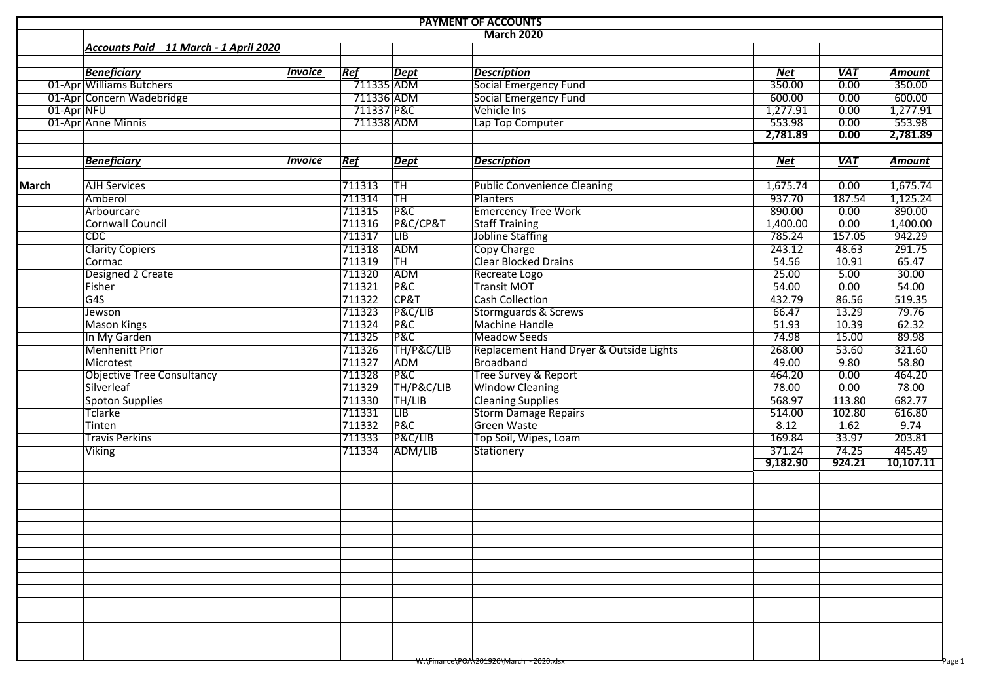| <b>PAYMENT OF ACCOUNTS</b>            |                |                         |                         |                                         |            |                  |               |  |  |  |  |  |  |
|---------------------------------------|----------------|-------------------------|-------------------------|-----------------------------------------|------------|------------------|---------------|--|--|--|--|--|--|
| <b>March 2020</b>                     |                |                         |                         |                                         |            |                  |               |  |  |  |  |  |  |
| Accounts Paid 11 March - 1 April 2020 |                |                         |                         |                                         |            |                  |               |  |  |  |  |  |  |
|                                       |                |                         |                         |                                         |            |                  |               |  |  |  |  |  |  |
| <b>Beneficiary</b>                    | <b>Invoice</b> | Ref                     | <b>Dept</b>             | <b>Description</b>                      | <b>Net</b> | <b>VAT</b>       | <b>Amount</b> |  |  |  |  |  |  |
| 01-Apr Williams Butchers              |                | $\overline{711335}$ ADM |                         | <b>Social Emergency Fund</b>            | 350.00     | $\frac{1}{0.00}$ | 350.00        |  |  |  |  |  |  |
| 01-Apr Concern Wadebridge             |                | 711336 ADM              |                         | <b>Social Emergency Fund</b>            | 600.00     | 0.00             | 600.00        |  |  |  |  |  |  |
| 01-Apr NFU                            |                | 711337 P&C              |                         | Vehicle Ins                             | 1,277.91   | 0.00             | 1,277.91      |  |  |  |  |  |  |
| 01-Apr Anne Minnis                    |                | 711338 ADM              |                         | Lap Top Computer                        | 553.98     | 0.00             | 553.98        |  |  |  |  |  |  |
|                                       |                |                         |                         |                                         | 2,781.89   | 0.00             | 2,781.89      |  |  |  |  |  |  |
| <b>Beneficiary</b>                    | <b>Invoice</b> | Ref                     | $\vert$ Dept            | <b>Description</b>                      | Net        | VAT              | <b>Amount</b> |  |  |  |  |  |  |
|                                       |                |                         |                         |                                         |            |                  |               |  |  |  |  |  |  |
| <b>AJH Services</b><br><b>March</b>   |                | 711313                  | TH                      | <b>Public Convenience Cleaning</b>      | 1,675.74   | 0.00             | 1,675.74      |  |  |  |  |  |  |
| Amberol                               |                | 711314                  | <b>TH</b>               | <b>Planters</b>                         | 937.70     | 187.54           | 1,125.24      |  |  |  |  |  |  |
| Arbourcare                            |                | 711315                  | <b>P&amp;C</b>          | <b>Emercency Tree Work</b>              | 890.00     | 0.00             | 890.00        |  |  |  |  |  |  |
| <b>Cornwall Council</b>               |                | 711316                  | P&C/CP&T                | <b>Staff Training</b>                   | 1,400.00   | 0.00             | 1,400.00      |  |  |  |  |  |  |
| CDC                                   |                | 711317                  | $\overline{\text{LIB}}$ | Jobline Staffing                        | 785.24     | 157.05           | 942.29        |  |  |  |  |  |  |
| <b>Clarity Copiers</b>                |                | 711318                  | ADM                     | <b>Copy Charge</b>                      | 243.12     | 48.63            | 291.75        |  |  |  |  |  |  |
| Cormac                                |                | 711319                  | <b>TH</b>               | <b>Clear Blocked Drains</b>             | 54.56      | 10.91            | 65.47         |  |  |  |  |  |  |
| Designed 2 Create                     |                | 711320                  | ADM                     | Recreate Logo                           | 25.00      | 5.00             | 30.00         |  |  |  |  |  |  |
| Fisher                                |                | 711321                  | P&C                     | <b>Transit MOT</b>                      | 54.00      | 0.00             | 54.00         |  |  |  |  |  |  |
| G4S                                   |                | 711322                  | CP&T                    | <b>Cash Collection</b>                  | 432.79     | 86.56            | 519.35        |  |  |  |  |  |  |
| Jewson                                |                | 711323                  | P&C/LIB                 | <b>Stormguards &amp; Screws</b>         | 66.47      | 13.29            | 79.76         |  |  |  |  |  |  |
| <b>Mason Kings</b>                    |                | 711324                  | <b>P&amp;C</b>          | <b>Machine Handle</b>                   | 51.93      | 10.39            | 62.32         |  |  |  |  |  |  |
| In My Garden                          |                | 711325                  | <b>P&amp;C</b>          | <b>Meadow Seeds</b>                     | 74.98      | 15.00            | 89.98         |  |  |  |  |  |  |
| Menhenitt Prior                       |                | 711326                  | TH/P&C/LIB              | Replacement Hand Dryer & Outside Lights | 268.00     | 53.60            | 321.60        |  |  |  |  |  |  |
| Microtest                             |                | 711327                  | ADM                     | <b>Broadband</b>                        | 49.00      | 9.80             | 58.80         |  |  |  |  |  |  |
| <b>Objective Tree Consultancy</b>     |                | 711328                  | P&C                     | Tree Survey & Report                    | 464.20     | 0.00             | 464.20        |  |  |  |  |  |  |
| Silverleaf                            |                | 711329                  | TH/P&C/LIB              | <b>Window Cleaning</b>                  | 78.00      | 0.00             | 78.00         |  |  |  |  |  |  |
| <b>Spoton Supplies</b>                |                | 711330                  | TH/LIB                  | <b>Cleaning Supplies</b>                | 568.97     | 113.80           | 682.77        |  |  |  |  |  |  |
| Tclarke                               |                | 711331                  | $\overline{LIB}$        | <b>Storm Damage Repairs</b>             | 514.00     | 102.80           | 616.80        |  |  |  |  |  |  |
| Tinten                                |                | 711332                  | P&C                     | Green Waste                             | 8.12       | 1.62             | 9.74          |  |  |  |  |  |  |
| <b>Travis Perkins</b>                 |                | 711333                  | P&C/LIB                 | Top Soil, Wipes, Loam                   | 169.84     | 33.97            | 203.81        |  |  |  |  |  |  |
| <b>Viking</b>                         |                | 711334                  | ADM/LIB                 | <b>Stationery</b>                       | 371.24     | 74.25            | 445.49        |  |  |  |  |  |  |
|                                       |                |                         |                         |                                         | 9,182.90   | 924.21           | 10,107.11     |  |  |  |  |  |  |
|                                       |                |                         |                         |                                         |            |                  |               |  |  |  |  |  |  |
|                                       |                |                         |                         |                                         |            |                  |               |  |  |  |  |  |  |
|                                       |                |                         |                         |                                         |            |                  |               |  |  |  |  |  |  |
|                                       |                |                         |                         |                                         |            |                  |               |  |  |  |  |  |  |
|                                       |                |                         |                         |                                         |            |                  |               |  |  |  |  |  |  |
|                                       |                |                         |                         |                                         |            |                  |               |  |  |  |  |  |  |
|                                       |                |                         |                         |                                         |            |                  |               |  |  |  |  |  |  |
|                                       |                |                         |                         |                                         |            |                  |               |  |  |  |  |  |  |
|                                       |                |                         |                         |                                         |            |                  |               |  |  |  |  |  |  |
|                                       |                |                         |                         |                                         |            |                  |               |  |  |  |  |  |  |
|                                       |                |                         |                         |                                         |            |                  |               |  |  |  |  |  |  |
|                                       |                |                         |                         |                                         |            |                  |               |  |  |  |  |  |  |
|                                       |                |                         |                         |                                         |            |                  |               |  |  |  |  |  |  |
|                                       |                |                         |                         | w:\Finance\POA\Z019Z0\March - Z0Z0.XISX |            |                  | Page 1        |  |  |  |  |  |  |